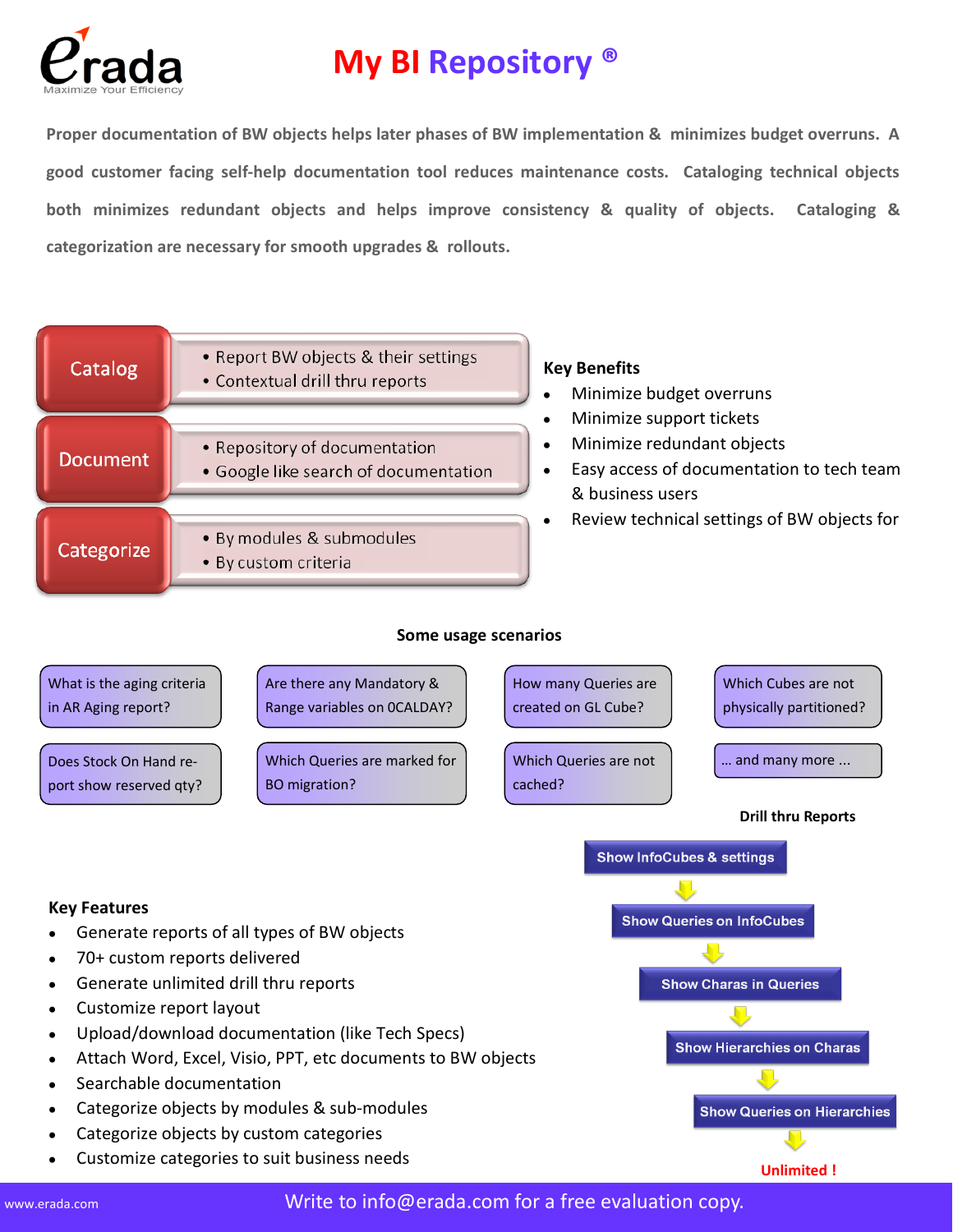

## **My BI Repository ®**

**Proper documentation of BW objects helps later phases of BW implementation & minimizes budget overruns. A good customer facing self-help documentation tool reduces maintenance costs. Cataloging technical objects both minimizes redundant objects and helps improve consistency & quality of objects. Cataloging & categorization are necessary for smooth upgrades & rollouts.**



## **Key Features**

- Generate reports of all types of BW objects
- 70+ custom reports delivered  $\bullet$
- Generate unlimited drill thru reports  $\bullet$
- Customize report layout  $\bullet$
- Upload/download documentation (like Tech Specs)
- Attach Word, Excel, Visio, PPT, etc documents to BW objects
- Searchable documentation
- Categorize objects by modules & sub-modules
- Categorize objects by custom categories
- Customize categories to suit business needs



**Unlimited !**

www.erada.com  $\blacksquare$  Write to info@erada.com for a free evaluation copy.